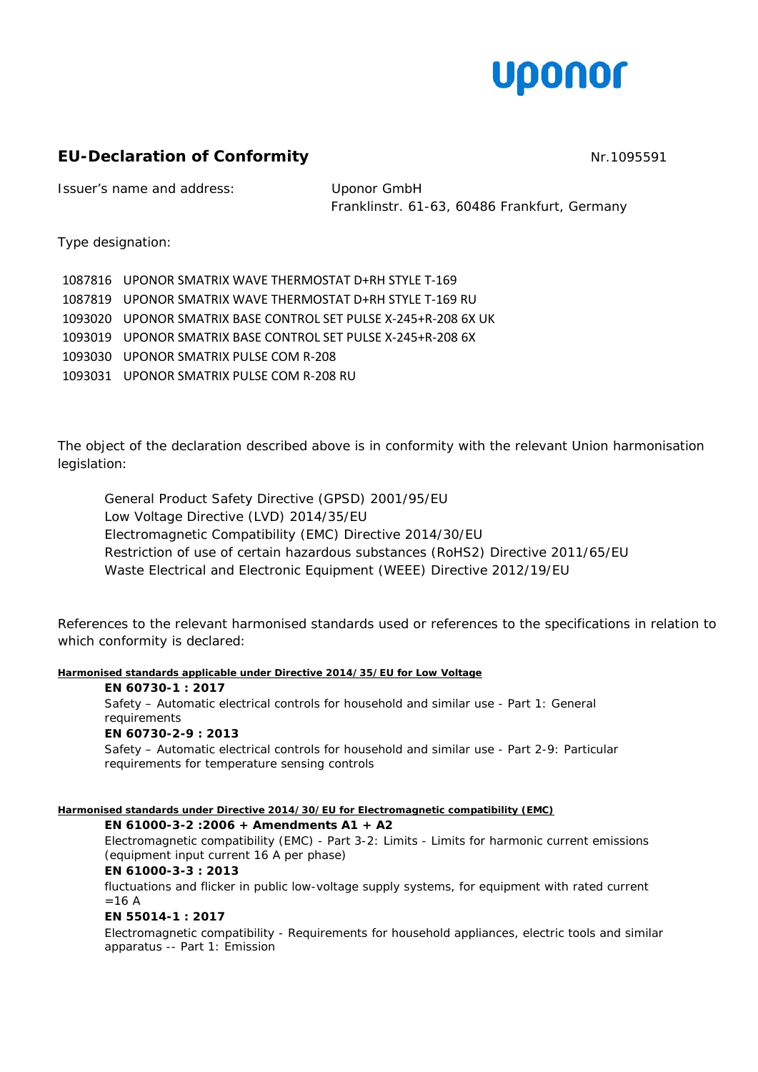

# **EU-Declaration of Conformity NRT** 2005591

Issuer's name and address: Uponor GmbH

Franklinstr. 61-63, 60486 Frankfurt, Germany

Type designation:

| 1087816 UPONOR SMATRIX WAVE THERMOSTAT D+RH STYLE T-169         |
|-----------------------------------------------------------------|
| 1087819 UPONOR SMATRIX WAVE THERMOSTAT D+RH STYLE T-169 RU      |
| 1093020 UPONOR SMATRIX BASE CONTROL SET PULSE X-245+R-208 6X UK |
| 1093019 UPONOR SMATRIX BASE CONTROL SET PULSE X-245+R-208 6X    |
| 1093030 UPONOR SMATRIX PULSE COM R-208                          |
| 1093031 UPONOR SMATRIX PULSE COM R-208 RU                       |

The object of the declaration described above is in conformity with the relevant Union harmonisation legislation:

General Product Safety Directive (GPSD) 2001/95/EU Low Voltage Directive (LVD) 2014/35/EU Electromagnetic Compatibility (EMC) Directive 2014/30/EU Restriction of use of certain hazardous substances (RoHS2) Directive 2011/65/EU Waste Electrical and Electronic Equipment (WEEE) Directive 2012/19/EU

References to the relevant harmonised standards used or references to the specifications in relation to which conformity is declared:

## **Harmonised standards applicable under Directive 2014/35/EU for Low Voltage**

# **EN 60730-1 : 2017**

*Safety – Automatic electrical controls for household and similar use - Part 1: General requirements* **EN 60730-2-9 : 2013**  *Safety – Automatic electrical controls for household and similar use - Part 2-9: Particular requirements for temperature sensing controls*

## **Harmonised standards under Directive 2014/30/EU for Electromagnetic compatibility (EMC)**

## **EN 61000-3-2 :2006 + Amendments A1 + A2**

*Electromagnetic compatibility (EMC) - Part 3-2: Limits - Limits for harmonic current emissions (equipment input current 16 A per phase)*

## **EN 61000-3-3 : 2013**

*fluctuations and flicker in public low-voltage supply systems, for equipment with rated current =16 A*

## **EN 55014-1 : 2017**

*Electromagnetic compatibility - Requirements for household appliances, electric tools and similar apparatus -- Part 1: Emission*